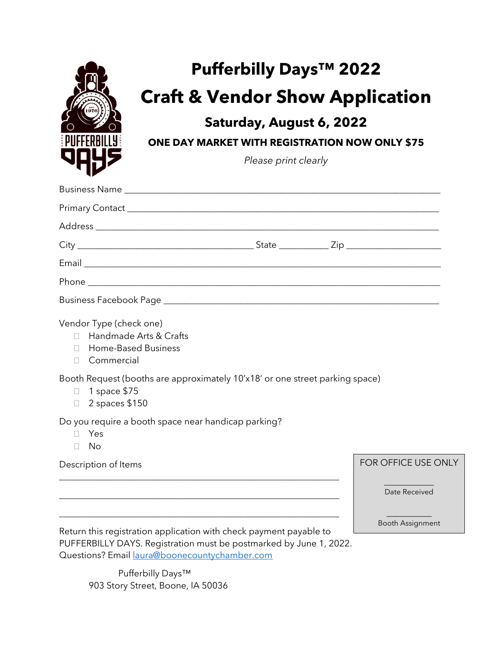

## **Pufferbilly Days™ 2022 Craft & Vendor Show Application**

## **Saturday, August 6, 2022**

**ONE DAY MARKET WITH REGISTRATION NOW ONLY \$75**

*Please print clearly*

| Vendor Type (check one)<br>Handmade Arts & Crafts<br>П.<br><b>Home-Based Business</b><br>$\Box$<br>Commercial<br>П.<br>Booth Request (booths are approximately 10'x18' or one street parking space)<br>1 space \$75<br>$\Box$ |                            |
|-------------------------------------------------------------------------------------------------------------------------------------------------------------------------------------------------------------------------------|----------------------------|
| $\Box$ 2 spaces \$150                                                                                                                                                                                                         |                            |
| Do you require a booth space near handicap parking?<br>Yes<br>П.<br>- No<br>$\Box$                                                                                                                                            |                            |
| Description of Items                                                                                                                                                                                                          | <b>FOR OFFICE USE ONLY</b> |
|                                                                                                                                                                                                                               | Date Received              |
|                                                                                                                                                                                                                               | <b>Booth Assignment</b>    |

Return this registration application with check payment payable to PUFFERBILLY DAYS. Registration must be postmarked by June 1, 2022. Questions? Email [laura@boonecountychamber.com](mailto:laura@boonecountychamber.com)

> Pufferbilly Days™ 903 Story Street, Boone, IA 50036